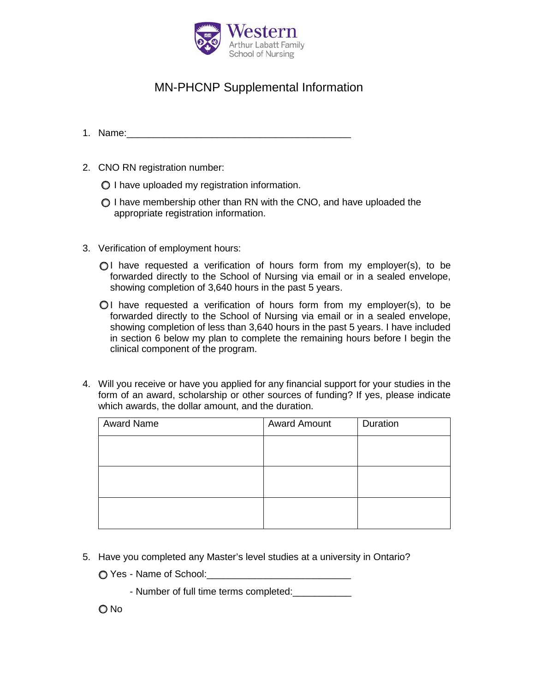

## MN-PHCNP Supplemental Information

- 1. Name:
- 2. CNO RN registration number:
	- I have uploaded my registration information.
	- $\bigcirc$  I have membership other than RN with the CNO, and have uploaded the appropriate registration information.
- 3. Verification of employment hours:
	- $\bigcirc$ I have requested a verification of hours form from my employer(s), to be forwarded directly to the School of Nursing via email or in a sealed envelope, showing completion of 3,640 hours in the past 5 years.
	- $O<sub>1</sub>$  have requested a verification of hours form from my employer(s), to be forwarded directly to the School of Nursing via email or in a sealed envelope, showing completion of less than 3,640 hours in the past 5 years. I have included in section 6 below my plan to complete the remaining hours before I begin the clinical component of the program.
- 4. Will you receive or have you applied for any financial support for your studies in the form of an award, scholarship or other sources of funding? If yes, please indicate which awards, the dollar amount, and the duration.

| <b>Award Name</b> | <b>Award Amount</b> | Duration |
|-------------------|---------------------|----------|
|                   |                     |          |
|                   |                     |          |
|                   |                     |          |
|                   |                     |          |
|                   |                     |          |
|                   |                     |          |

- 5. Have you completed any Master's level studies at a university in Ontario?
	- Yes Name of School:\_\_\_\_\_\_\_\_\_\_\_\_\_\_\_\_\_\_\_\_\_\_\_\_\_\_\_
		- Number of full time terms completed:\_\_\_\_\_\_\_\_\_\_\_

O No